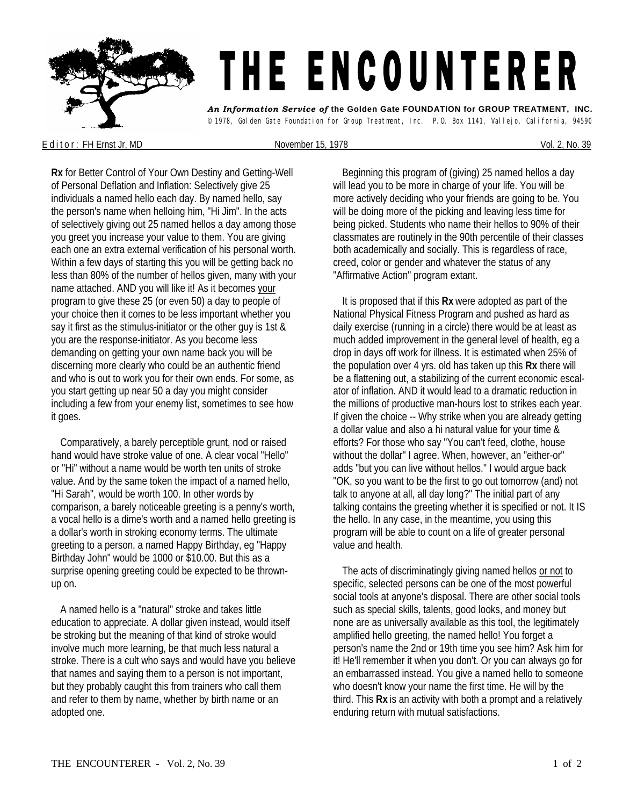

E d it or : FH Ernst Jr, MD November 15, 1978 Vol. 2, No. 39

**Rx** for Better Control of Your Own Destiny and Getting-Well of Personal Deflation and Inflation: Selectively give 25 individuals a named hello each day. By named hello, say the person's name when helloing him, "Hi Jim". In the acts of selectively giving out 25 named hellos a day among those you greet you increase your value to them. You are giving each one an extra external verification of his personal worth. Within a few days of starting this you will be getting back no less than 80% of the number of hellos given, many with your name attached. AND you will like it! As it becomes your program to give these 25 (or even 50) a day to people of your choice then it comes to be less important whether you say it first as the stimulus-initiator or the other guy is 1st & you are the response-initiator. As you become less demanding on getting your own name back you will be discerning more clearly who could be an authentic friend and who is out to work you for their own ends. For some, as you start getting up near 50 a day you might consider including a few from your enemy list, sometimes to see how it goes.

 Comparatively, a barely perceptible grunt, nod or raised hand would have stroke value of one. A clear vocal "Hello" or "Hi" without a name would be worth ten units of stroke value. And by the same token the impact of a named hello, "Hi Sarah", would be worth 100. In other words by comparison, a barely noticeable greeting is a penny's worth, a vocal hello is a dime's worth and a named hello greeting is a dollar's worth in stroking economy terms. The ultimate greeting to a person, a named Happy Birthday, eg "Happy Birthday John" would be 1000 or \$10.00. But this as a surprise opening greeting could be expected to be thrownup on.

 A named hello is a "natural" stroke and takes little education to appreciate. A dollar given instead, would itself be stroking but the meaning of that kind of stroke would involve much more learning, be that much less natural a stroke. There is a cult who says and would have you believe that names and saying them to a person is not important, but they probably caught this from trainers who call them and refer to them by name, whether by birth name or an adopted one.

 Beginning this program of (giving) 25 named hellos a day will lead you to be more in charge of your life. You will be more actively deciding who your friends are going to be. You will be doing more of the picking and leaving less time for being picked. Students who name their hellos to 90% of their classmates are routinely in the 90th percentile of their classes both academically and socially. This is regardless of race, creed, color or gender and whatever the status of any "Affirmative Action" program extant.

 It is proposed that if this **Rx** were adopted as part of the National Physical Fitness Program and pushed as hard as daily exercise (running in a circle) there would be at least as much added improvement in the general level of health, eg a drop in days off work for illness. It is estimated when 25% of the population over 4 yrs. old has taken up this **Rx** there will be a flattening out, a stabilizing of the current economic escalator of inflation. AND it would lead to a dramatic reduction in the millions of productive man-hours lost to strikes each year. If given the choice -- Why strike when you are already getting a dollar value and also a hi natural value for your time & efforts? For those who say "You can't feed, clothe, house without the dollar" I agree. When, however, an "either-or" adds "but you can live without hellos." I would argue back "OK, so you want to be the first to go out tomorrow (and) not talk to anyone at all, all day long?" The initial part of any talking contains the greeting whether it is specified or not. It IS the hello. In any case, in the meantime, you using this program will be able to count on a life of greater personal value and health.

The acts of discriminatingly giving named hellos or not to specific, selected persons can be one of the most powerful social tools at anyone's disposal. There are other social tools such as special skills, talents, good looks, and money but none are as universally available as this tool, the legitimately amplified hello greeting, the named hello! You forget a person's name the 2nd or 19th time you see him? Ask him for it! He'll remember it when you don't. Or you can always go for an embarrassed instead. You give a named hello to someone who doesn't know your name the first time. He will by the third. This **Rx** is an activity with both a prompt and a relatively enduring return with mutual satisfactions.